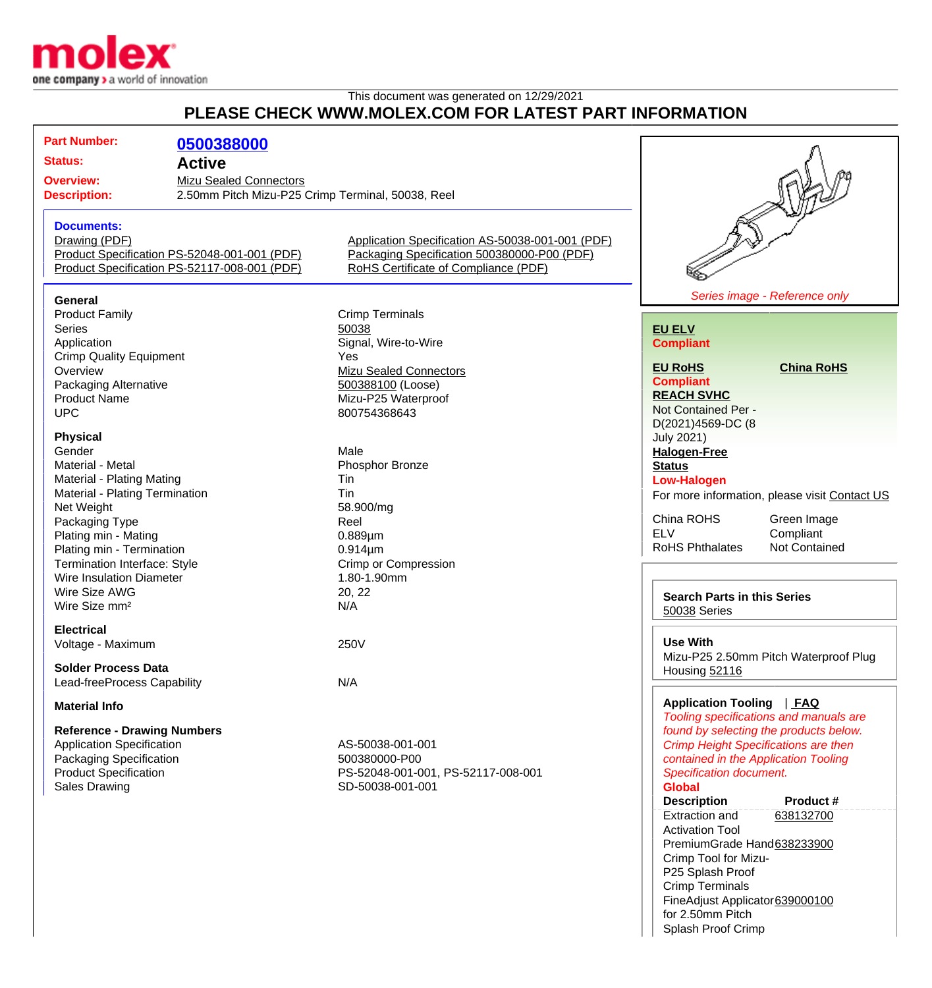

## This document was generated on 12/29/2021 **PLEASE CHECK WWW.MOLEX.COM FOR LATEST PART INFORMATION**

| <b>Part Number:</b>                                                                                                           | 0500388000    |                                                                                                 |                                                                                     |                                               |
|-------------------------------------------------------------------------------------------------------------------------------|---------------|-------------------------------------------------------------------------------------------------|-------------------------------------------------------------------------------------|-----------------------------------------------|
| <b>Status:</b>                                                                                                                | <b>Active</b> |                                                                                                 |                                                                                     |                                               |
|                                                                                                                               |               |                                                                                                 |                                                                                     |                                               |
| <b>Overview:</b><br><b>Mizu Sealed Connectors</b><br>2.50mm Pitch Mizu-P25 Crimp Terminal, 50038, Reel<br><b>Description:</b> |               |                                                                                                 |                                                                                     |                                               |
|                                                                                                                               |               |                                                                                                 |                                                                                     |                                               |
| <b>Documents:</b>                                                                                                             |               |                                                                                                 |                                                                                     |                                               |
| Drawing (PDF)                                                                                                                 |               | Application Specification AS-50038-001-001 (PDF)<br>Packaging Specification 500380000-P00 (PDF) |                                                                                     |                                               |
| Product Specification PS-52048-001-001 (PDF)                                                                                  |               |                                                                                                 |                                                                                     |                                               |
| Product Specification PS-52117-008-001 (PDF)                                                                                  |               | RoHS Certificate of Compliance (PDF)                                                            |                                                                                     |                                               |
|                                                                                                                               |               |                                                                                                 |                                                                                     |                                               |
| General                                                                                                                       |               |                                                                                                 |                                                                                     | Series image - Reference only                 |
| <b>Product Family</b>                                                                                                         |               | <b>Crimp Terminals</b>                                                                          |                                                                                     |                                               |
| Series                                                                                                                        |               | 50038                                                                                           | <b>EU ELV</b>                                                                       |                                               |
| Application                                                                                                                   |               | Signal, Wire-to-Wire                                                                            | <b>Compliant</b>                                                                    |                                               |
| <b>Crimp Quality Equipment</b>                                                                                                |               | Yes                                                                                             |                                                                                     |                                               |
| Overview                                                                                                                      |               | <b>Mizu Sealed Connectors</b>                                                                   | <b>EU RoHS</b>                                                                      | <b>China RoHS</b>                             |
| Packaging Alternative                                                                                                         |               | 500388100 (Loose)                                                                               | <b>Compliant</b>                                                                    |                                               |
| <b>Product Name</b>                                                                                                           |               | Mizu-P25 Waterproof                                                                             | <b>REACH SVHC</b>                                                                   |                                               |
| <b>UPC</b>                                                                                                                    |               | 800754368643                                                                                    | Not Contained Per -                                                                 |                                               |
| <b>Physical</b>                                                                                                               |               |                                                                                                 | D(2021)4569-DC (8<br><b>July 2021)</b>                                              |                                               |
| Gender                                                                                                                        |               | Male                                                                                            | <b>Halogen-Free</b>                                                                 |                                               |
| Material - Metal                                                                                                              |               | Phosphor Bronze                                                                                 | <b>Status</b>                                                                       |                                               |
| Material - Plating Mating                                                                                                     |               | Tin                                                                                             | <b>Low-Halogen</b>                                                                  |                                               |
| Material - Plating Termination                                                                                                |               | Tin                                                                                             |                                                                                     | For more information, please visit Contact US |
| Net Weight                                                                                                                    |               | 58.900/mg                                                                                       |                                                                                     |                                               |
| Packaging Type                                                                                                                |               | Reel                                                                                            | China ROHS                                                                          | Green Image                                   |
| Plating min - Mating                                                                                                          |               | $0.889 \mu m$                                                                                   | <b>ELV</b>                                                                          | Compliant                                     |
| Plating min - Termination                                                                                                     |               | $0.914 \mu m$                                                                                   | <b>RoHS Phthalates</b>                                                              | Not Contained                                 |
| Termination Interface: Style                                                                                                  |               | Crimp or Compression                                                                            |                                                                                     |                                               |
| <b>Wire Insulation Diameter</b>                                                                                               |               | 1.80-1.90mm                                                                                     |                                                                                     |                                               |
| Wire Size AWG                                                                                                                 |               | 20, 22                                                                                          | <b>Search Parts in this Series</b>                                                  |                                               |
| Wire Size mm <sup>2</sup>                                                                                                     |               | N/A                                                                                             | 50038 Series                                                                        |                                               |
| <b>Electrical</b>                                                                                                             |               |                                                                                                 |                                                                                     |                                               |
| Voltage - Maximum                                                                                                             |               | 250V                                                                                            | <b>Use With</b>                                                                     |                                               |
|                                                                                                                               |               |                                                                                                 |                                                                                     | Mizu-P25 2.50mm Pitch Waterproof Plug         |
| <b>Solder Process Data</b>                                                                                                    |               |                                                                                                 | Housing 52116                                                                       |                                               |
| Lead-freeProcess Capability                                                                                                   |               | N/A                                                                                             |                                                                                     |                                               |
| <b>Material Info</b>                                                                                                          |               |                                                                                                 | Application Tooling   FAQ<br>Tooling specifications and manuals are                 |                                               |
| <b>Reference - Drawing Numbers</b>                                                                                            |               |                                                                                                 | found by selecting the products below.                                              |                                               |
| <b>Application Specification</b>                                                                                              |               | AS-50038-001-001                                                                                | <b>Crimp Height Specifications are then</b><br>contained in the Application Tooling |                                               |
| Packaging Specification                                                                                                       |               | 500380000-P00                                                                                   |                                                                                     |                                               |
| <b>Product Specification</b>                                                                                                  |               | PS-52048-001-001, PS-52117-008-001                                                              | <b>Specification document.</b>                                                      |                                               |
| <b>Sales Drawing</b>                                                                                                          |               | SD-50038-001-001                                                                                | <b>Global</b>                                                                       |                                               |
|                                                                                                                               |               |                                                                                                 | <b>Description</b>                                                                  | <b>Product #</b>                              |
|                                                                                                                               |               |                                                                                                 | <b>Extraction and</b>                                                               | 638132700                                     |
|                                                                                                                               |               |                                                                                                 | <b>Activation Tool</b>                                                              |                                               |
|                                                                                                                               |               |                                                                                                 | PremiumGrade Hand638233900                                                          |                                               |
|                                                                                                                               |               |                                                                                                 | Crimp Tool for Mizu-                                                                |                                               |
|                                                                                                                               |               |                                                                                                 | P25 Splash Proof                                                                    |                                               |

Crimp Terminals

for 2.50mm Pitch Splash Proof Crimp

FineAdjust Applicator [639000100](http://www.molex.com/molex/products/datasheet.jsp?part=active/0639000100_APPLICATION_TOOLIN.xml)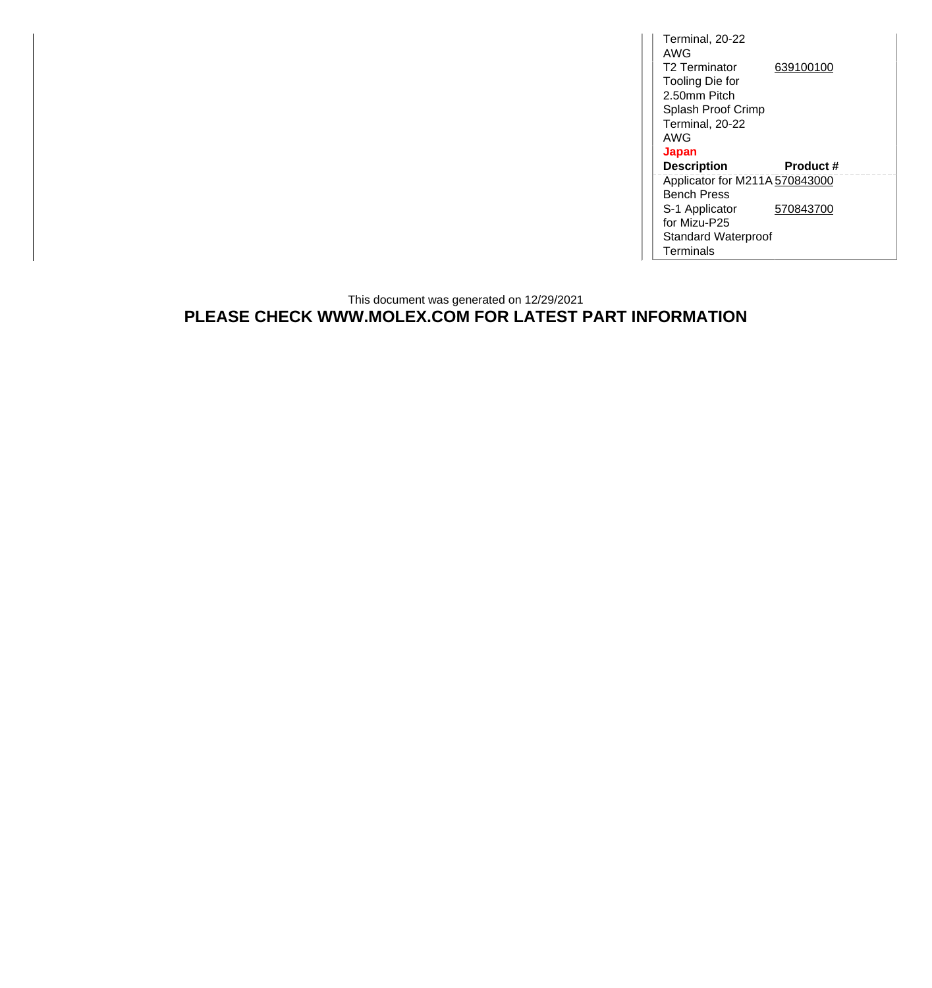Terminal, 20-22 AWG T2 Terminator Tooling Die for 2.50mm Pitch Splash Proof Crimp Terminal, 20-22 AWG [639100100](http://www.molex.com/molex/products/datasheet.jsp?part=active/0639100100_APPLICATION_TOOLIN.xml) **Japan Description Product #** Applicator for M211A [570843000](http://www.molex.com/molex/products/datasheet.jsp?part=active/0570843000_APPLICATION_TOOLIN.xml) Bench Press S-1 Applicator for Mizu-P25 Standard Waterproof Terminals [570843700](http://www.molex.com/molex/products/datasheet.jsp?part=active/0570843700_APPLICATION_TOOLIN.xml)

## This document was generated on 12/29/2021 **PLEASE CHECK WWW.MOLEX.COM FOR LATEST PART INFORMATION**